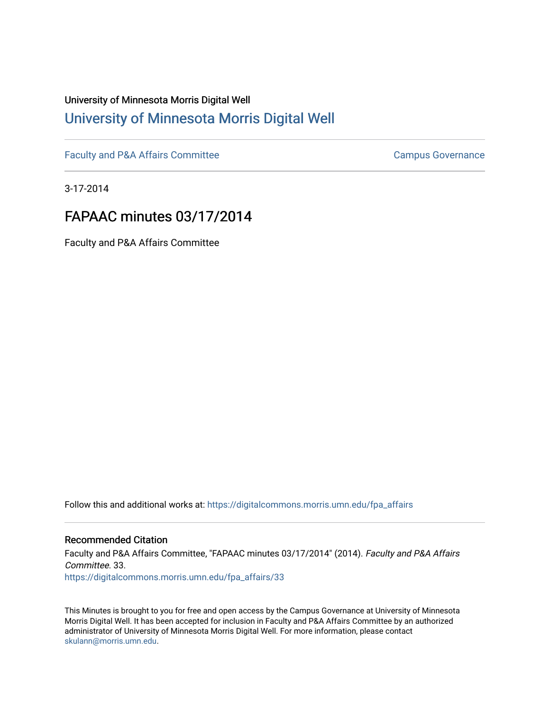# University of Minnesota Morris Digital Well [University of Minnesota Morris Digital Well](https://digitalcommons.morris.umn.edu/)

[Faculty and P&A Affairs Committee](https://digitalcommons.morris.umn.edu/fpa_affairs) [Campus Governance](https://digitalcommons.morris.umn.edu/campgov) Campus Governance

3-17-2014

# FAPAAC minutes 03/17/2014

Faculty and P&A Affairs Committee

Follow this and additional works at: [https://digitalcommons.morris.umn.edu/fpa\\_affairs](https://digitalcommons.morris.umn.edu/fpa_affairs?utm_source=digitalcommons.morris.umn.edu%2Ffpa_affairs%2F33&utm_medium=PDF&utm_campaign=PDFCoverPages)

## Recommended Citation

Faculty and P&A Affairs Committee, "FAPAAC minutes 03/17/2014" (2014). Faculty and P&A Affairs Committee. 33. [https://digitalcommons.morris.umn.edu/fpa\\_affairs/33](https://digitalcommons.morris.umn.edu/fpa_affairs/33?utm_source=digitalcommons.morris.umn.edu%2Ffpa_affairs%2F33&utm_medium=PDF&utm_campaign=PDFCoverPages) 

This Minutes is brought to you for free and open access by the Campus Governance at University of Minnesota Morris Digital Well. It has been accepted for inclusion in Faculty and P&A Affairs Committee by an authorized administrator of University of Minnesota Morris Digital Well. For more information, please contact [skulann@morris.umn.edu.](mailto:skulann@morris.umn.edu)